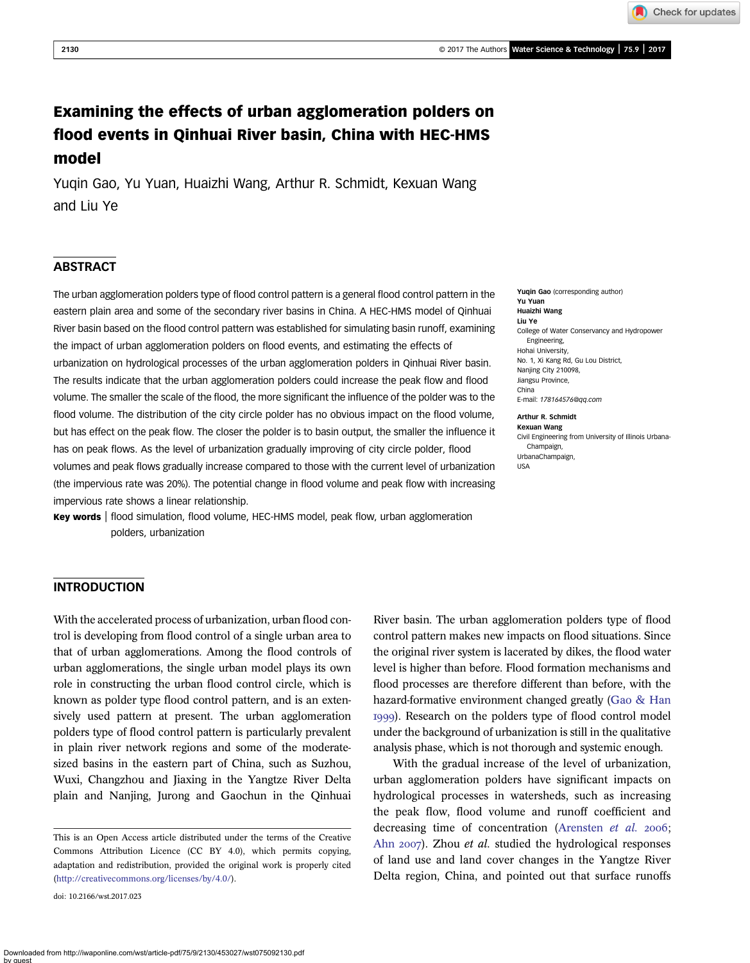Check for updates

# Examining the effects of urban agglomeration polders on flood events in Qinhuai River basin, China with HEC-HMS model

Yuqin Gao, Yu Yuan, Huaizhi Wang, Arthur R. Schmidt, Kexuan Wang and Liu Ye

## **ABSTRACT**

The urban agglomeration polders type of flood control pattern is a general flood control pattern in the eastern plain area and some of the secondary river basins in China. A HEC-HMS model of Qinhuai River basin based on the flood control pattern was established for simulating basin runoff, examining the impact of urban agglomeration polders on flood events, and estimating the effects of urbanization on hydrological processes of the urban agglomeration polders in Qinhuai River basin. The results indicate that the urban agglomeration polders could increase the peak flow and flood volume. The smaller the scale of the flood, the more significant the influence of the polder was to the flood volume. The distribution of the city circle polder has no obvious impact on the flood volume, but has effect on the peak flow. The closer the polder is to basin output, the smaller the influence it has on peak flows. As the level of urbanization gradually improving of city circle polder, flood volumes and peak flows gradually increase compared to those with the current level of urbanization (the impervious rate was 20%). The potential change in flood volume and peak flow with increasing impervious rate shows a linear relationship.

Key words | flood simulation, flood volume, HEC-HMS model, peak flow, urban agglomeration polders, urbanization

#### Yuqin Gao (corresponding author) Yu Yuan Huaizhi Wang Liu Ye College of Water Conservancy and Hydropower Engineering, Hohai University, No. 1, Xi Kang Rd, Gu Lou District, Nanjing City 210098. Jiangsu Province, China E-mail: [178164576@qq.com](mailto:178164576@qq.com)

#### Arthur R. Schmidt

Kexuan Wang Civil Engineering from University of Illinois Urbana-Champaign, UrbanaChampaign, USA

### INTRODUCTION

With the accelerated process of urbanization, urban flood control is developing from flood control of a single urban area to that of urban agglomerations. Among the flood controls of urban agglomerations, the single urban model plays its own role in constructing the urban flood control circle, which is known as polder type flood control pattern, and is an extensively used pattern at present. The urban agglomeration polders type of flood control pattern is particularly prevalent in plain river network regions and some of the moderatesized basins in the eastern part of China, such as Suzhou, Wuxi, Changzhou and Jiaxing in the Yangtze River Delta plain and Nanjing, Jurong and Gaochun in the Qinhuai

doi: 10.2166/wst.2017.023

River basin. The urban agglomeration polders type of flood control pattern makes new impacts on flood situations. Since the original river system is lacerated by dikes, the flood water level is higher than before. Flood formation mechanisms and flood processes are therefore different than before, with the hazard-formative environment changed greatly [\(Gao & Han](#page-8-0) ). Research on the polders type of flood control model under the background of urbanization is still in the qualitative analysis phase, which is not thorough and systemic enough.

With the gradual increase of the level of urbanization, urban agglomeration polders have significant impacts on hydrological processes in watersheds, such as increasing the peak flow, flood volume and runoff coefficient and decreasing time of concentration ([Arensten](#page-8-0) et al. 2006; Ahn 2007). Zhou *et al.* studied the hydrological responses of land use and land cover changes in the Yangtze River Delta region, China, and pointed out that surface runoffs

This is an Open Access article distributed under the terms of the Creative Commons Attribution Licence (CC BY 4.0), which permits copying, adaptation and redistribution, provided the original work is properly cited ([http://creativecommons.org/licenses/by/4.0/\)](http://creativecommons.org/licenses/by/4.0/).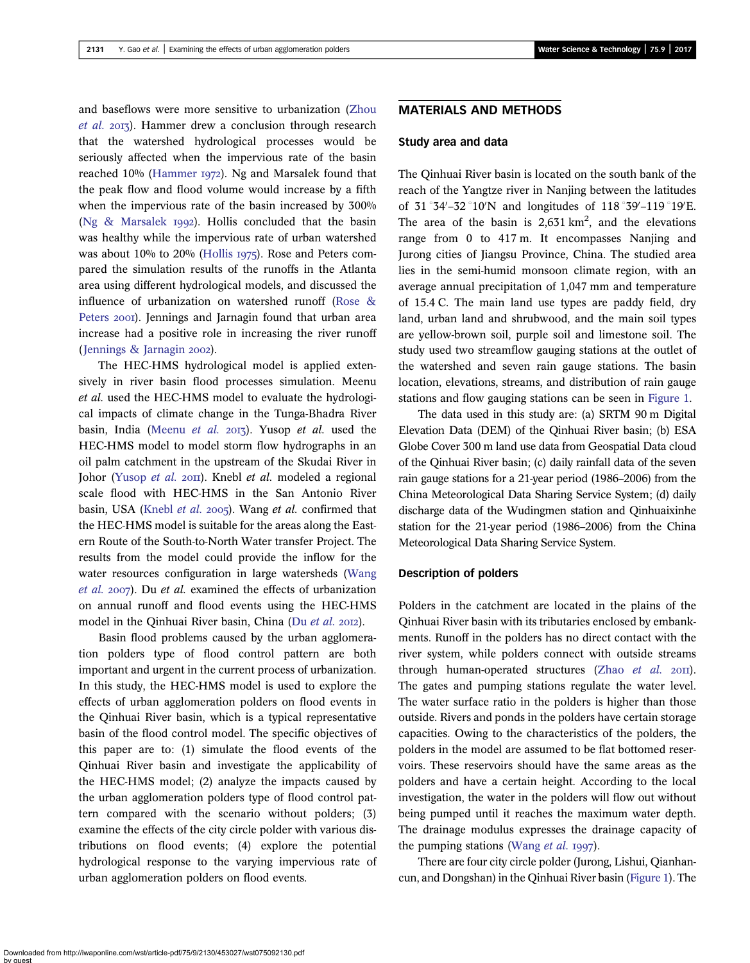and baseflows were more sensitive to urbanization ([Zhou](#page-8-0) [et al.](#page-8-0) 2013). Hammer drew a conclusion through research that the watershed hydrological processes would be seriously affected when the impervious rate of the basin reached 10% ([Hammer](#page-8-0) 1972). Ng and Marsalek found that the peak flow and flood volume would increase by a fifth when the impervious rate of the basin increased by 300% (Ng  $&$  Marsalek 1992). Hollis concluded that the basin was healthy while the impervious rate of urban watershed was about  $10\%$  to  $20\%$  ([Hollis](#page-8-0) 1975). Rose and Peters compared the simulation results of the runoffs in the Atlanta area using different hydrological models, and discussed the influence of urbanization on watershed runoff ([Rose &](#page-8-0) [Peters](#page-8-0) 2001). Jennings and Jarnagin found that urban area increase had a positive role in increasing the river runoff (Jennings  $& Jarnagin 2002$ ).

The HEC-HMS hydrological model is applied extensively in river basin flood processes simulation. Meenu et al. used the HEC-HMS model to evaluate the hydrological impacts of climate change in the Tunga-Bhadra River basin, India ([Meenu](#page-8-0) et al. 2013). Yusop et al. used the HEC-HMS model to model storm flow hydrographs in an oil palm catchment in the upstream of the Skudai River in Johor [\(Yusop](#page-8-0) et al. 2011). Knebl et al. modeled a regional scale flood with HEC-HMS in the San Antonio River basin, USA ([Knebl](#page-8-0) *et al.* 2005). Wang *et al.* confirmed that the HEC-HMS model is suitable for the areas along the Eastern Route of the South-to-North Water transfer Project. The results from the model could provide the inflow for the water resources configuration in large watersheds [\(Wang](#page-8-0) [et al.](#page-8-0) 2007). Du et al. examined the effects of urbanization on annual runoff and flood events using the HEC-HMS model in the Qinhuai River basin, China (Du [et al.](#page-8-0) 2012).

Basin flood problems caused by the urban agglomeration polders type of flood control pattern are both important and urgent in the current process of urbanization. In this study, the HEC-HMS model is used to explore the effects of urban agglomeration polders on flood events in the Qinhuai River basin, which is a typical representative basin of the flood control model. The specific objectives of this paper are to: (1) simulate the flood events of the Qinhuai River basin and investigate the applicability of the HEC-HMS model; (2) analyze the impacts caused by the urban agglomeration polders type of flood control pattern compared with the scenario without polders; (3) examine the effects of the city circle polder with various distributions on flood events; (4) explore the potential hydrological response to the varying impervious rate of urban agglomeration polders on flood events.

#### Study area and data

The Qinhuai River basin is located on the south bank of the reach of the Yangtze river in Nanjing between the latitudes of  $31^{\circ}34' - 32^{\circ}10'$ N and longitudes of  $118^{\circ}39' - 119^{\circ}19'E$ . The area of the basin is  $2,631 \text{ km}^2$ , and the elevations range from 0 to 417 m. It encompasses Nanjing and Jurong cities of Jiangsu Province, China. The studied area lies in the semi-humid monsoon climate region, with an average annual precipitation of 1,047 mm and temperature of 15.4 C. The main land use types are paddy field, dry land, urban land and shrubwood, and the main soil types are yellow-brown soil, purple soil and limestone soil. The study used two streamflow gauging stations at the outlet of the watershed and seven rain gauge stations. The basin location, elevations, streams, and distribution of rain gauge stations and flow gauging stations can be seen in [Figure 1](#page-2-0).

The data used in this study are: (a) SRTM 90 m Digital Elevation Data (DEM) of the Qinhuai River basin; (b) ESA Globe Cover 300 m land use data from Geospatial Data cloud of the Qinhuai River basin; (c) daily rainfall data of the seven rain gauge stations for a 21-year period (1986–2006) from the China Meteorological Data Sharing Service System; (d) daily discharge data of the Wudingmen station and Qinhuaixinhe station for the 21-year period (1986–2006) from the China Meteorological Data Sharing Service System.

#### Description of polders

Polders in the catchment are located in the plains of the Qinhuai River basin with its tributaries enclosed by embankments. Runoff in the polders has no direct contact with the river system, while polders connect with outside streams through human-operated structures (Zhao  $et$   $al$ .  $20\text{II}$ ). The gates and pumping stations regulate the water level. The water surface ratio in the polders is higher than those outside. Rivers and ponds in the polders have certain storage capacities. Owing to the characteristics of the polders, the polders in the model are assumed to be flat bottomed reservoirs. These reservoirs should have the same areas as the polders and have a certain height. According to the local investigation, the water in the polders will flow out without being pumped until it reaches the maximum water depth. The drainage modulus expresses the drainage capacity of the pumping stations ([Wang](#page-8-0)  $et$   $al.$  1997).

There are four city circle polder (Jurong, Lishui, Qianhancun, and Dongshan) in the Qinhuai River basin [\(Figure 1\)](#page-2-0). The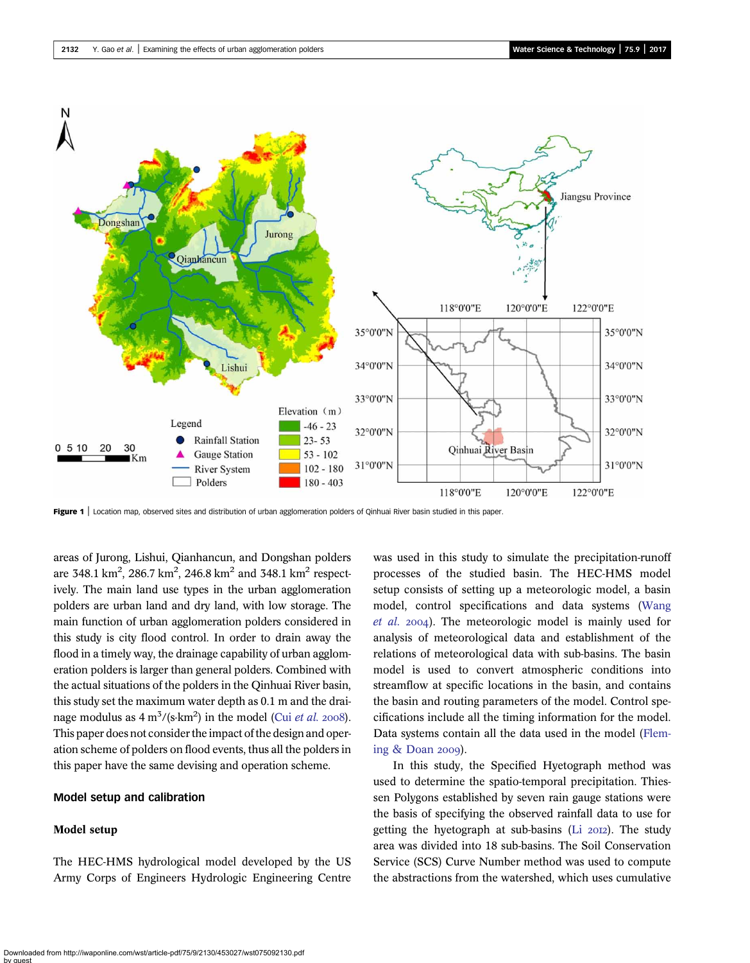<span id="page-2-0"></span>

Figure 1 | Location map, observed sites and distribution of urban agglomeration polders of Qinhuai River basin studied in this paper.

areas of Jurong, Lishui, Qianhancun, and Dongshan polders are 348.1 km<sup>2</sup>, 286.7 km<sup>2</sup>, 246.8 km<sup>2</sup> and 348.1 km<sup>2</sup> respectively. The main land use types in the urban agglomeration polders are urban land and dry land, with low storage. The main function of urban agglomeration polders considered in this study is city flood control. In order to drain away the flood in a timely way, the drainage capability of urban agglomeration polders is larger than general polders. Combined with the actual situations of the polders in the Qinhuai River basin, this study set the maximum water depth as 0.1 m and the drainage modulus as  $4 \text{ m}^3/\text{(s-km}^2)$  in the model (Cui *[et al.](#page-8-0)* 2008). This paper does not consider the impact of the design and operation scheme of polders on flood events, thus all the polders in this paper have the same devising and operation scheme.

#### Model setup and calibration

#### Model setup

The HEC-HMS hydrological model developed by the US Army Corps of Engineers Hydrologic Engineering Centre was used in this study to simulate the precipitation-runoff processes of the studied basin. The HEC-HMS model setup consists of setting up a meteorologic model, a basin model, control specifications and data systems ([Wang](#page-8-0) [et al.](#page-8-0) 2004). The meteorologic model is mainly used for analysis of meteorological data and establishment of the relations of meteorological data with sub-basins. The basin model is used to convert atmospheric conditions into streamflow at specific locations in the basin, and contains the basin and routing parameters of the model. Control specifications include all the timing information for the model. Data systems contain all the data used in the model ([Flem](#page-8-0)ing  $&$  Doan 2009).

In this study, the Specified Hyetograph method was used to determine the spatio-temporal precipitation. Thiessen Polygons established by seven rain gauge stations were the basis of specifying the observed rainfall data to use for getting the hyetograph at sub-basins ( $Li$   $20I2$ ). The study area was divided into 18 sub-basins. The Soil Conservation Service (SCS) Curve Number method was used to compute the abstractions from the watershed, which uses cumulative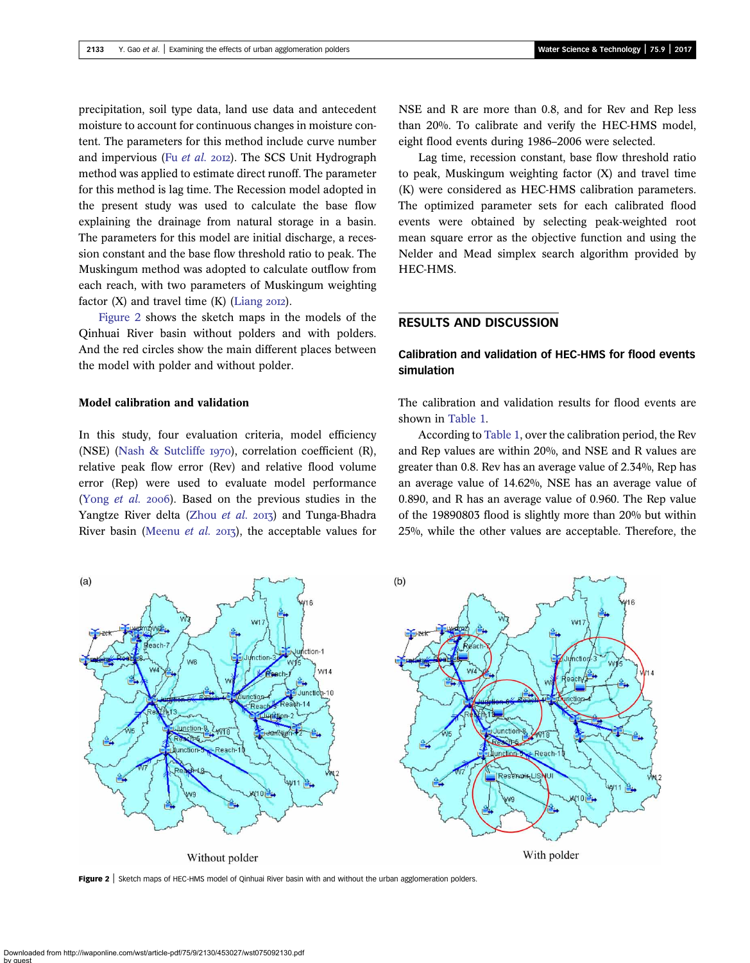precipitation, soil type data, land use data and antecedent moisture to account for continuous changes in moisture content. The parameters for this method include curve number and impervious (Fu [et al.](#page-8-0) 2012). The SCS Unit Hydrograph method was applied to estimate direct runoff. The parameter for this method is lag time. The Recession model adopted in the present study was used to calculate the base flow explaining the drainage from natural storage in a basin. The parameters for this model are initial discharge, a recession constant and the base flow threshold ratio to peak. The Muskingum method was adopted to calculate outflow from each reach, with two parameters of Muskingum weighting factor  $(X)$  and travel time  $(K)$  [\(Liang](#page-8-0) 2012).

Figure 2 shows the sketch maps in the models of the Qinhuai River basin without polders and with polders. And the red circles show the main different places between the model with polder and without polder.

#### Model calibration and validation

In this study, four evaluation criteria, model efficiency (NSE) [\(Nash & Sutcliffe](#page-8-0)  $1970$ ), correlation coefficient (R), relative peak flow error (Rev) and relative flood volume error (Rep) were used to evaluate model performance (Yong [et al.](#page-8-0) 2006). Based on the previous studies in the Yangtze River delta [\(Zhou](#page-8-0) et al. 2013) and Tunga-Bhadra River basin [\(Meenu](#page-8-0) et al. 2013), the acceptable values for NSE and R are more than 0.8, and for Rev and Rep less than 20%. To calibrate and verify the HEC-HMS model, eight flood events during 1986–2006 were selected.

Lag time, recession constant, base flow threshold ratio to peak, Muskingum weighting factor (X) and travel time (K) were considered as HEC-HMS calibration parameters. The optimized parameter sets for each calibrated flood events were obtained by selecting peak-weighted root mean square error as the objective function and using the Nelder and Mead simplex search algorithm provided by HEC-HMS.

## RESULTS AND DISCUSSION

## Calibration and validation of HEC-HMS for flood events simulation

The calibration and validation results for flood events are shown in [Table 1.](#page-4-0)

According to [Table 1,](#page-4-0) over the calibration period, the Rev and Rep values are within 20%, and NSE and R values are greater than 0.8. Rev has an average value of 2.34%, Rep has an average value of 14.62%, NSE has an average value of 0.890, and R has an average value of 0.960. The Rep value of the 19890803 flood is slightly more than 20% but within 25%, while the other values are acceptable. Therefore, the



Figure 2 | Sketch maps of HEC-HMS model of Qinhuai River basin with and without the urban agglomeration polders.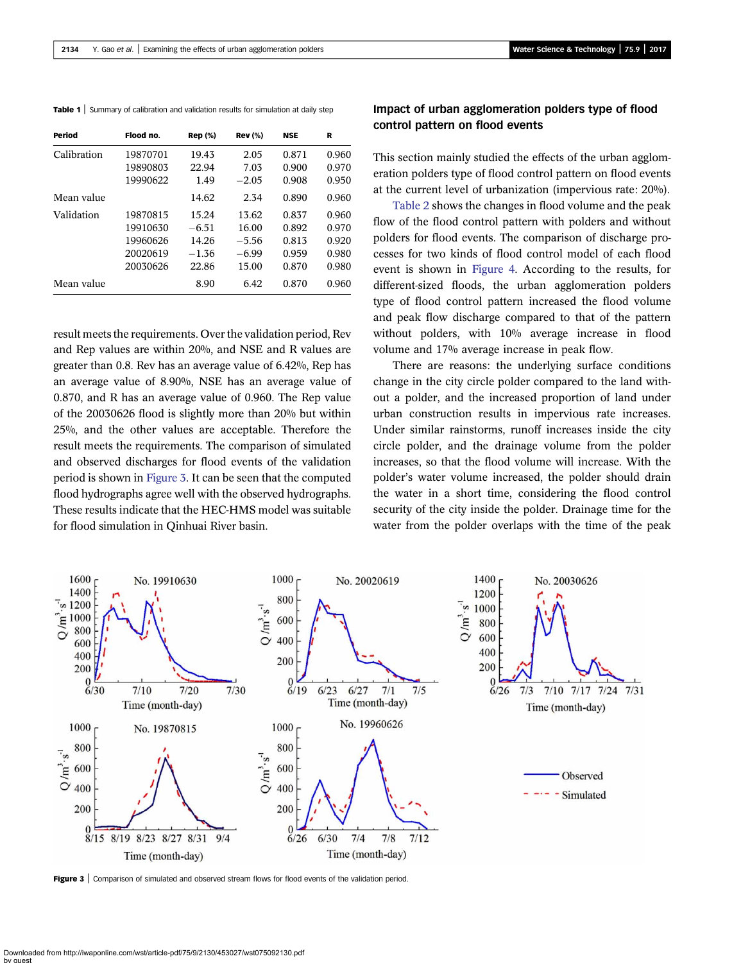<span id="page-4-0"></span>Table 1 | Summary of calibration and validation results for simulation at daily step

| Period      | Flood no. | <b>Rep</b> (%) | <b>Rev</b> (%) | <b>NSE</b> | R     |
|-------------|-----------|----------------|----------------|------------|-------|
| Calibration | 19870701  | 19.43          | 2.05           | 0.871      | 0.960 |
|             | 19890803  | 22.94          | 7.03           | 0.900      | 0.970 |
|             | 19990622  | 1.49           | $-2.05$        | 0.908      | 0.950 |
| Mean value  |           | 14.62          | 2.34           | 0.890      | 0.960 |
| Validation  | 19870815  | 15.24          | 13.62          | 0.837      | 0.960 |
|             | 19910630  | $-6.51$        | 16.00          | 0.892      | 0.970 |
|             | 19960626  | 14.26          | $-5.56$        | 0.813      | 0.920 |
|             | 20020619  | $-1.36$        | $-6.99$        | 0.959      | 0.980 |
|             | 20030626  | 22.86          | 15.00          | 0.870      | 0.980 |
| Mean value  |           | 8.90           | 6.42           | 0.870      | 0.960 |

result meets the requirements. Over the validation period, Rev and Rep values are within 20%, and NSE and R values are greater than 0.8. Rev has an average value of 6.42%, Rep has an average value of 8.90%, NSE has an average value of 0.870, and R has an average value of 0.960. The Rep value of the 20030626 flood is slightly more than 20% but within 25%, and the other values are acceptable. Therefore the result meets the requirements. The comparison of simulated and observed discharges for flood events of the validation period is shown in Figure 3. It can be seen that the computed flood hydrographs agree well with the observed hydrographs. These results indicate that the HEC-HMS model was suitable for flood simulation in Qinhuai River basin.

## Impact of urban agglomeration polders type of flood control pattern on flood events

This section mainly studied the effects of the urban agglomeration polders type of flood control pattern on flood events at the current level of urbanization (impervious rate: 20%).

[Table 2](#page-5-0) shows the changes in flood volume and the peak flow of the flood control pattern with polders and without polders for flood events. The comparison of discharge processes for two kinds of flood control model of each flood event is shown in [Figure 4.](#page-5-0) According to the results, for different-sized floods, the urban agglomeration polders type of flood control pattern increased the flood volume and peak flow discharge compared to that of the pattern without polders, with 10% average increase in flood volume and 17% average increase in peak flow.

There are reasons: the underlying surface conditions change in the city circle polder compared to the land without a polder, and the increased proportion of land under urban construction results in impervious rate increases. Under similar rainstorms, runoff increases inside the city circle polder, and the drainage volume from the polder increases, so that the flood volume will increase. With the polder's water volume increased, the polder should drain the water in a short time, considering the flood control security of the city inside the polder. Drainage time for the water from the polder overlaps with the time of the peak



Figure 3 | Comparison of simulated and observed stream flows for flood events of the validation period.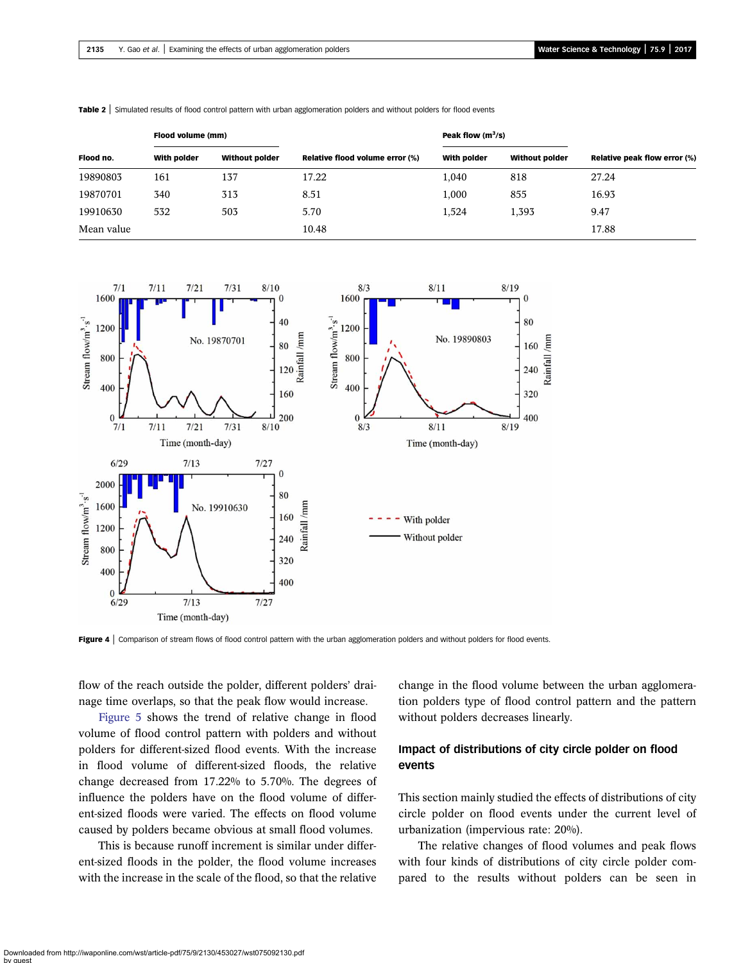| Flood volume (mm) |             |                       | Peak flow $(m^3/s)$             |             |                       |                                     |
|-------------------|-------------|-----------------------|---------------------------------|-------------|-----------------------|-------------------------------------|
| Flood no.         | With polder | <b>Without polder</b> | Relative flood volume error (%) | With polder | <b>Without polder</b> | <b>Relative peak flow error (%)</b> |
| 19890803          | 161         | 137                   | 17.22                           | 1,040       | 818                   | 27.24                               |
| 19870701          | 340         | 313                   | 8.51                            | 1.000       | 855                   | 16.93                               |
| 19910630          | 532         | 503                   | 5.70                            | 1.524       | 1.393                 | 9.47                                |
| Mean value        |             |                       | 10.48                           |             |                       | 17.88                               |

<span id="page-5-0"></span>Table 2 | Simulated results of flood control pattern with urban agglomeration polders and without polders for flood events



**Figure 4** | Comparison of stream flows of flood control pattern with the urban agglomeration polders and without polders for flood events.

flow of the reach outside the polder, different polders' drainage time overlaps, so that the peak flow would increase.

[Figure 5](#page-6-0) shows the trend of relative change in flood volume of flood control pattern with polders and without polders for different-sized flood events. With the increase in flood volume of different-sized floods, the relative change decreased from 17.22% to 5.70%. The degrees of influence the polders have on the flood volume of different-sized floods were varied. The effects on flood volume caused by polders became obvious at small flood volumes.

This is because runoff increment is similar under different-sized floods in the polder, the flood volume increases with the increase in the scale of the flood, so that the relative change in the flood volume between the urban agglomeration polders type of flood control pattern and the pattern without polders decreases linearly.

## Impact of distributions of city circle polder on flood events

This section mainly studied the effects of distributions of city circle polder on flood events under the current level of urbanization (impervious rate: 20%).

The relative changes of flood volumes and peak flows with four kinds of distributions of city circle polder compared to the results without polders can be seen in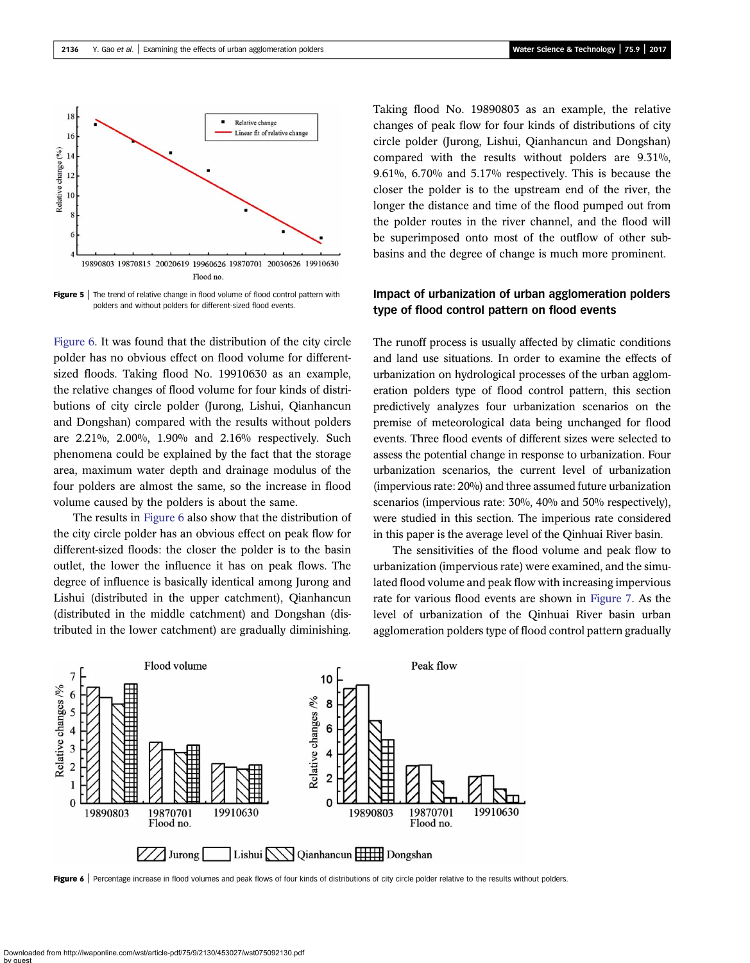<span id="page-6-0"></span>

**Figure 5** The trend of relative change in flood volume of flood control pattern with polders and without polders for different-sized flood events.

Figure 6. It was found that the distribution of the city circle polder has no obvious effect on flood volume for differentsized floods. Taking flood No. 19910630 as an example, the relative changes of flood volume for four kinds of distributions of city circle polder (Jurong, Lishui, Qianhancun and Dongshan) compared with the results without polders are 2.21%, 2.00%, 1.90% and 2.16% respectively. Such phenomena could be explained by the fact that the storage area, maximum water depth and drainage modulus of the four polders are almost the same, so the increase in flood volume caused by the polders is about the same.

The results in Figure 6 also show that the distribution of the city circle polder has an obvious effect on peak flow for different-sized floods: the closer the polder is to the basin outlet, the lower the influence it has on peak flows. The degree of influence is basically identical among Jurong and Lishui (distributed in the upper catchment), Qianhancun (distributed in the middle catchment) and Dongshan (distributed in the lower catchment) are gradually diminishing.

Taking flood No. 19890803 as an example, the relative changes of peak flow for four kinds of distributions of city circle polder (Jurong, Lishui, Qianhancun and Dongshan) compared with the results without polders are 9.31%, 9.61%, 6.70% and 5.17% respectively. This is because the closer the polder is to the upstream end of the river, the longer the distance and time of the flood pumped out from the polder routes in the river channel, and the flood will be superimposed onto most of the outflow of other subbasins and the degree of change is much more prominent.

## Impact of urbanization of urban agglomeration polders type of flood control pattern on flood events

The runoff process is usually affected by climatic conditions and land use situations. In order to examine the effects of urbanization on hydrological processes of the urban agglomeration polders type of flood control pattern, this section predictively analyzes four urbanization scenarios on the premise of meteorological data being unchanged for flood events. Three flood events of different sizes were selected to assess the potential change in response to urbanization. Four urbanization scenarios, the current level of urbanization (impervious rate: 20%) and three assumed future urbanization scenarios (impervious rate: 30%, 40% and 50% respectively), were studied in this section. The imperious rate considered in this paper is the average level of the Qinhuai River basin.

The sensitivities of the flood volume and peak flow to urbanization (impervious rate) were examined, and the simulated flood volume and peak flow with increasing impervious rate for various flood events are shown in [Figure 7.](#page-7-0) As the level of urbanization of the Qinhuai River basin urban agglomeration polders type of flood control pattern gradually



Figure 6 | Percentage increase in flood volumes and peak flows of four kinds of distributions of city circle polder relative to the results without polders.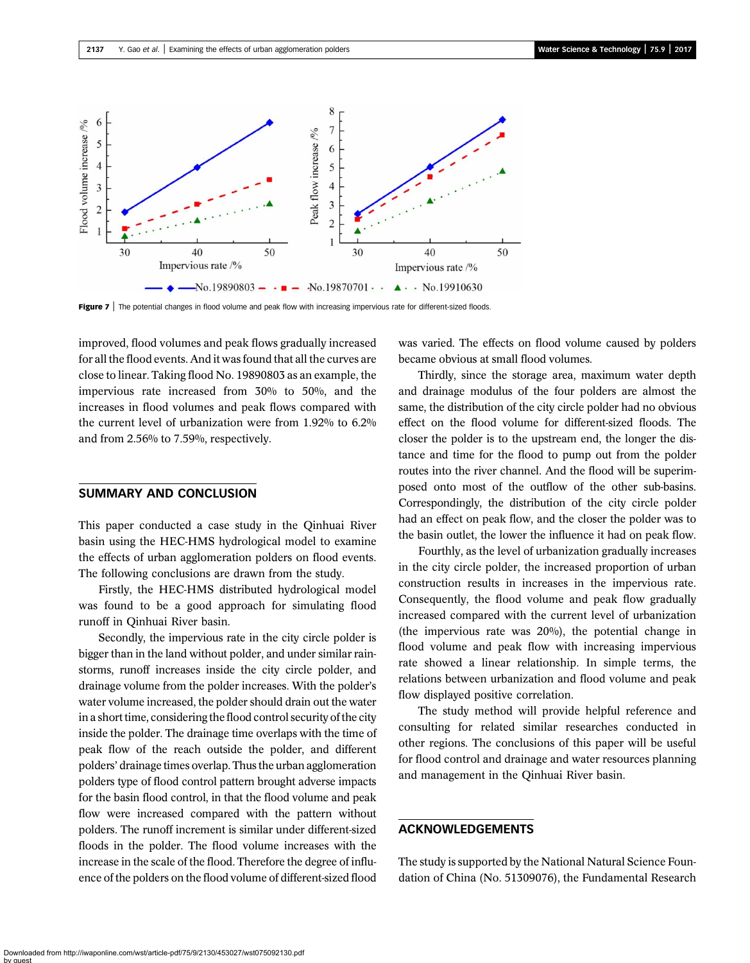<span id="page-7-0"></span>

Figure 7 | The potential changes in flood volume and peak flow with increasing impervious rate for different-sized floods.

improved, flood volumes and peak flows gradually increased for all the flood events. And it was found that all the curves are close to linear. Taking flood No. 19890803 as an example, the impervious rate increased from 30% to 50%, and the increases in flood volumes and peak flows compared with the current level of urbanization were from 1.92% to 6.2% and from 2.56% to 7.59%, respectively.

### SUMMARY AND CONCLUSION

This paper conducted a case study in the Qinhuai River basin using the HEC-HMS hydrological model to examine the effects of urban agglomeration polders on flood events. The following conclusions are drawn from the study.

Firstly, the HEC-HMS distributed hydrological model was found to be a good approach for simulating flood runoff in Qinhuai River basin.

Secondly, the impervious rate in the city circle polder is bigger than in the land without polder, and under similar rainstorms, runoff increases inside the city circle polder, and drainage volume from the polder increases. With the polder's water volume increased, the polder should drain out the water in a short time, considering the flood control security of the city inside the polder. The drainage time overlaps with the time of peak flow of the reach outside the polder, and different polders' drainage times overlap. Thus the urban agglomeration polders type of flood control pattern brought adverse impacts for the basin flood control, in that the flood volume and peak flow were increased compared with the pattern without polders. The runoff increment is similar under different-sized floods in the polder. The flood volume increases with the increase in the scale of the flood. Therefore the degree of influence of the polders on the flood volume of different-sized flood

was varied. The effects on flood volume caused by polders became obvious at small flood volumes.

Thirdly, since the storage area, maximum water depth and drainage modulus of the four polders are almost the same, the distribution of the city circle polder had no obvious effect on the flood volume for different-sized floods. The closer the polder is to the upstream end, the longer the distance and time for the flood to pump out from the polder routes into the river channel. And the flood will be superimposed onto most of the outflow of the other sub-basins. Correspondingly, the distribution of the city circle polder had an effect on peak flow, and the closer the polder was to the basin outlet, the lower the influence it had on peak flow.

Fourthly, as the level of urbanization gradually increases in the city circle polder, the increased proportion of urban construction results in increases in the impervious rate. Consequently, the flood volume and peak flow gradually increased compared with the current level of urbanization (the impervious rate was 20%), the potential change in flood volume and peak flow with increasing impervious rate showed a linear relationship. In simple terms, the relations between urbanization and flood volume and peak flow displayed positive correlation.

The study method will provide helpful reference and consulting for related similar researches conducted in other regions. The conclusions of this paper will be useful for flood control and drainage and water resources planning and management in the Qinhuai River basin.

## ACKNOWLEDGEMENTS

The study is supported by the National Natural Science Foundation of China (No. 51309076), the Fundamental Research